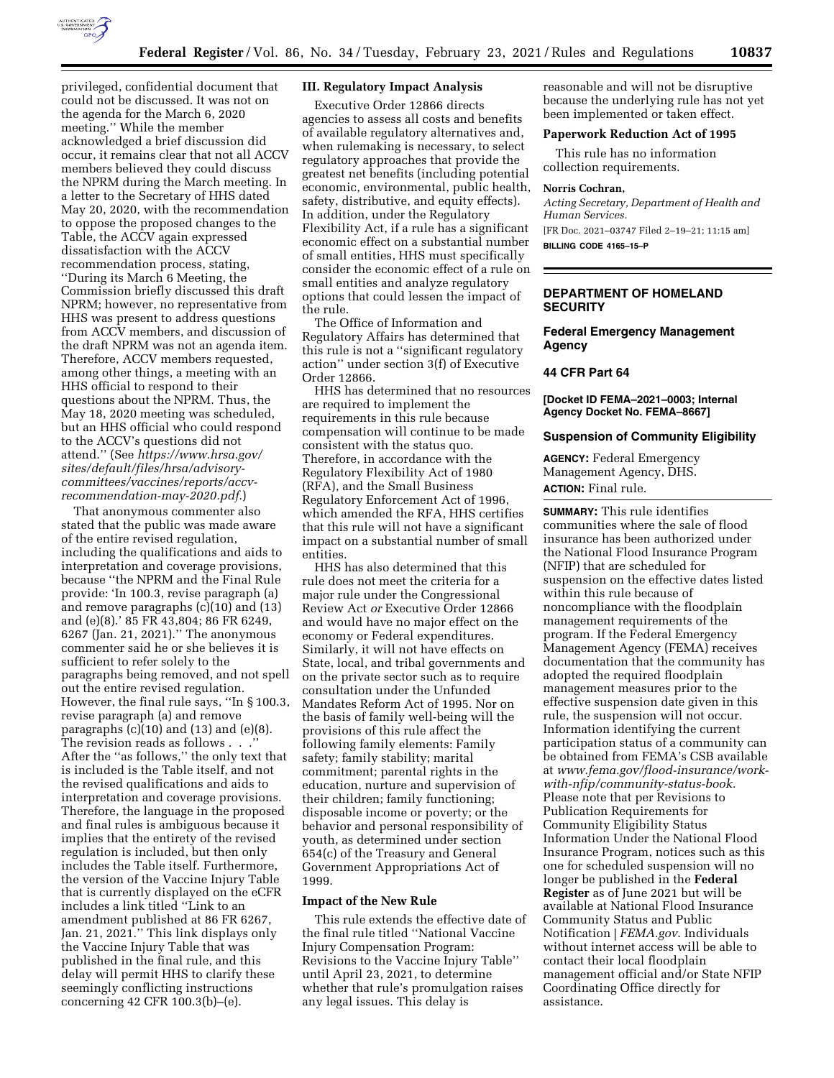

privileged, confidential document that could not be discussed. It was not on the agenda for the March 6, 2020 meeting.'' While the member acknowledged a brief discussion did occur, it remains clear that not all ACCV members believed they could discuss the NPRM during the March meeting. In a letter to the Secretary of HHS dated May 20, 2020, with the recommendation to oppose the proposed changes to the Table, the ACCV again expressed dissatisfaction with the ACCV recommendation process, stating, ''During its March 6 Meeting, the Commission briefly discussed this draft NPRM; however, no representative from HHS was present to address questions from ACCV members, and discussion of the draft NPRM was not an agenda item. Therefore, ACCV members requested, among other things, a meeting with an HHS official to respond to their questions about the NPRM. Thus, the May 18, 2020 meeting was scheduled, but an HHS official who could respond to the ACCV's questions did not attend.'' (See *[https://www.hrsa.gov/](https://www.hrsa.gov/sites/default/files/hrsa/advisory-committees/vaccines/reports/accv-recommendation-may-2020.pdf)  [sites/default/files/hrsa/advisory](https://www.hrsa.gov/sites/default/files/hrsa/advisory-committees/vaccines/reports/accv-recommendation-may-2020.pdf)[committees/vaccines/reports/accv](https://www.hrsa.gov/sites/default/files/hrsa/advisory-committees/vaccines/reports/accv-recommendation-may-2020.pdf)[recommendation-may-2020.pdf.](https://www.hrsa.gov/sites/default/files/hrsa/advisory-committees/vaccines/reports/accv-recommendation-may-2020.pdf)*)

That anonymous commenter also stated that the public was made aware of the entire revised regulation, including the qualifications and aids to interpretation and coverage provisions, because ''the NPRM and the Final Rule provide: 'In 100.3, revise paragraph (a) and remove paragraphs (c)(10) and (13) and (e)(8).' 85 FR 43,804; 86 FR 6249, 6267 (Jan. 21, 2021).'' The anonymous commenter said he or she believes it is sufficient to refer solely to the paragraphs being removed, and not spell out the entire revised regulation. However, the final rule says, ''In § 100.3, revise paragraph (a) and remove paragraphs  $(c)(10)$  and  $(13)$  and  $(e)(8)$ . The revision reads as follows . . . After the ''as follows,'' the only text that is included is the Table itself, and not the revised qualifications and aids to interpretation and coverage provisions. Therefore, the language in the proposed and final rules is ambiguous because it implies that the entirety of the revised regulation is included, but then only includes the Table itself. Furthermore, the version of the Vaccine Injury Table that is currently displayed on the eCFR includes a link titled ''Link to an amendment published at 86 FR 6267, Jan. 21, 2021.'' This link displays only the Vaccine Injury Table that was published in the final rule, and this delay will permit HHS to clarify these seemingly conflicting instructions concerning 42 CFR 100.3(b)–(e).

# **III. Regulatory Impact Analysis**

Executive Order 12866 directs agencies to assess all costs and benefits of available regulatory alternatives and, when rulemaking is necessary, to select regulatory approaches that provide the greatest net benefits (including potential economic, environmental, public health, safety, distributive, and equity effects). In addition, under the Regulatory Flexibility Act, if a rule has a significant economic effect on a substantial number of small entities, HHS must specifically consider the economic effect of a rule on small entities and analyze regulatory options that could lessen the impact of the rule.

The Office of Information and Regulatory Affairs has determined that this rule is not a ''significant regulatory action'' under section 3(f) of Executive Order 12866.

HHS has determined that no resources are required to implement the requirements in this rule because compensation will continue to be made consistent with the status quo. Therefore, in accordance with the Regulatory Flexibility Act of 1980 (RFA), and the Small Business Regulatory Enforcement Act of 1996, which amended the RFA, HHS certifies that this rule will not have a significant impact on a substantial number of small entities.

HHS has also determined that this rule does not meet the criteria for a major rule under the Congressional Review Act *or* Executive Order 12866 and would have no major effect on the economy or Federal expenditures. Similarly, it will not have effects on State, local, and tribal governments and on the private sector such as to require consultation under the Unfunded Mandates Reform Act of 1995. Nor on the basis of family well-being will the provisions of this rule affect the following family elements: Family safety; family stability; marital commitment; parental rights in the education, nurture and supervision of their children; family functioning; disposable income or poverty; or the behavior and personal responsibility of youth, as determined under section 654(c) of the Treasury and General Government Appropriations Act of 1999.

#### **Impact of the New Rule**

This rule extends the effective date of the final rule titled ''National Vaccine Injury Compensation Program: Revisions to the Vaccine Injury Table'' until April 23, 2021, to determine whether that rule's promulgation raises any legal issues. This delay is

reasonable and will not be disruptive because the underlying rule has not yet been implemented or taken effect.

#### **Paperwork Reduction Act of 1995**

This rule has no information collection requirements.

#### **Norris Cochran,**

*Acting Secretary, Department of Health and Human Services.*  [FR Doc. 2021–03747 Filed 2–19–21; 11:15 am] **BILLING CODE 4165–15–P** 

## **DEPARTMENT OF HOMELAND SECURITY**

### **Federal Emergency Management Agency**

### **44 CFR Part 64**

**[Docket ID FEMA–2021–0003; Internal Agency Docket No. FEMA–8667]** 

# **Suspension of Community Eligibility**

**AGENCY:** Federal Emergency Management Agency, DHS. **ACTION:** Final rule.

**SUMMARY:** This rule identifies communities where the sale of flood insurance has been authorized under the National Flood Insurance Program (NFIP) that are scheduled for suspension on the effective dates listed within this rule because of noncompliance with the floodplain management requirements of the program. If the Federal Emergency Management Agency (FEMA) receives documentation that the community has adopted the required floodplain management measures prior to the effective suspension date given in this rule, the suspension will not occur. Information identifying the current participation status of a community can be obtained from FEMA's CSB available at *[www.fema.gov/flood-insurance/work](http://www.fema.gov/flood-insurance/work-with-nfip/community-status-book)[with-nfip/community-status-book.](http://www.fema.gov/flood-insurance/work-with-nfip/community-status-book)*  Please note that per Revisions to Publication Requirements for Community Eligibility Status Information Under the National Flood Insurance Program, notices such as this one for scheduled suspension will no longer be published in the **Federal Register** as of June 2021 but will be available at National Flood Insurance Community Status and Public Notification | *FEMA.gov*. Individuals without internet access will be able to contact their local floodplain management official and/or State NFIP Coordinating Office directly for assistance.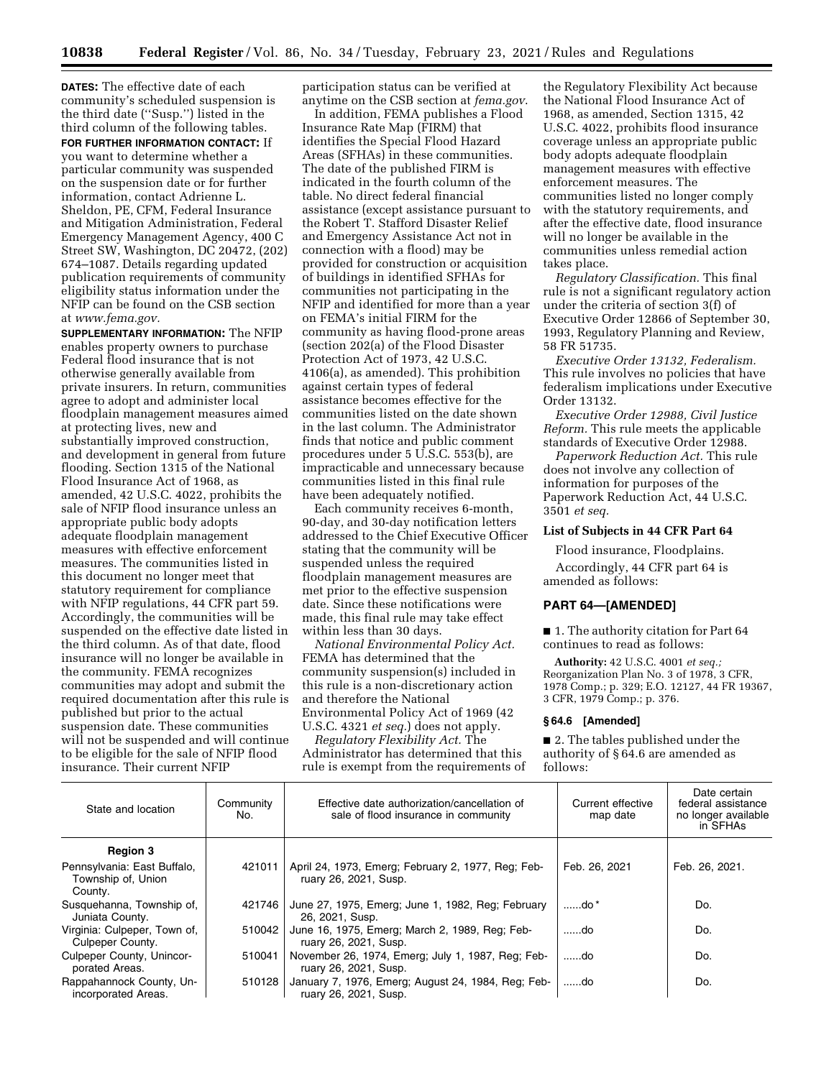**DATES:** The effective date of each community's scheduled suspension is the third date (''Susp.'') listed in the third column of the following tables.

**FOR FURTHER INFORMATION CONTACT:** If you want to determine whether a particular community was suspended on the suspension date or for further information, contact Adrienne L. Sheldon, PE, CFM, Federal Insurance and Mitigation Administration, Federal Emergency Management Agency, 400 C Street SW, Washington, DC 20472, (202) 674–1087. Details regarding updated publication requirements of community eligibility status information under the NFIP can be found on the CSB section at *[www.fema.gov.](http://www.fema.gov)* 

**SUPPLEMENTARY INFORMATION:** The NFIP enables property owners to purchase Federal flood insurance that is not otherwise generally available from private insurers. In return, communities agree to adopt and administer local floodplain management measures aimed at protecting lives, new and substantially improved construction, and development in general from future flooding. Section 1315 of the National Flood Insurance Act of 1968, as amended, 42 U.S.C. 4022, prohibits the sale of NFIP flood insurance unless an appropriate public body adopts adequate floodplain management measures with effective enforcement measures. The communities listed in this document no longer meet that statutory requirement for compliance with NFIP regulations, 44 CFR part 59. Accordingly, the communities will be suspended on the effective date listed in the third column. As of that date, flood insurance will no longer be available in the community. FEMA recognizes communities may adopt and submit the required documentation after this rule is published but prior to the actual suspension date. These communities will not be suspended and will continue to be eligible for the sale of NFIP flood insurance. Their current NFIP

participation status can be verified at anytime on the CSB section at *fema.gov*.

In addition, FEMA publishes a Flood Insurance Rate Map (FIRM) that identifies the Special Flood Hazard Areas (SFHAs) in these communities. The date of the published FIRM is indicated in the fourth column of the table. No direct federal financial assistance (except assistance pursuant to the Robert T. Stafford Disaster Relief and Emergency Assistance Act not in connection with a flood) may be provided for construction or acquisition of buildings in identified SFHAs for communities not participating in the NFIP and identified for more than a year on FEMA's initial FIRM for the community as having flood-prone areas (section 202(a) of the Flood Disaster Protection Act of 1973, 42 U.S.C. 4106(a), as amended). This prohibition against certain types of federal assistance becomes effective for the communities listed on the date shown in the last column. The Administrator finds that notice and public comment procedures under 5 U.S.C. 553(b), are impracticable and unnecessary because communities listed in this final rule have been adequately notified.

Each community receives 6-month, 90-day, and 30-day notification letters addressed to the Chief Executive Officer stating that the community will be suspended unless the required floodplain management measures are met prior to the effective suspension date. Since these notifications were made, this final rule may take effect within less than 30 days.

*National Environmental Policy Act.*  FEMA has determined that the community suspension(s) included in this rule is a non-discretionary action and therefore the National Environmental Policy Act of 1969 (42 U.S.C. 4321 *et seq.*) does not apply.

*Regulatory Flexibility Act.* The Administrator has determined that this rule is exempt from the requirements of

the Regulatory Flexibility Act because the National Flood Insurance Act of 1968, as amended, Section 1315, 42 U.S.C. 4022, prohibits flood insurance coverage unless an appropriate public body adopts adequate floodplain management measures with effective enforcement measures. The communities listed no longer comply with the statutory requirements, and after the effective date, flood insurance will no longer be available in the communities unless remedial action takes place.

*Regulatory Classification.* This final rule is not a significant regulatory action under the criteria of section 3(f) of Executive Order 12866 of September 30, 1993, Regulatory Planning and Review, 58 FR 51735.

*Executive Order 13132, Federalism.*  This rule involves no policies that have federalism implications under Executive Order 13132.

*Executive Order 12988, Civil Justice Reform.* This rule meets the applicable standards of Executive Order 12988.

*Paperwork Reduction Act.* This rule does not involve any collection of information for purposes of the Paperwork Reduction Act, 44 U.S.C. 3501 *et seq.* 

#### **List of Subjects in 44 CFR Part 64**

Flood insurance, Floodplains.

Accordingly, 44 CFR part 64 is amended as follows:

### **PART 64—[AMENDED]**

■ 1. The authority citation for Part 64 continues to read as follows:

**Authority:** 42 U.S.C. 4001 *et seq.;*  Reorganization Plan No. 3 of 1978, 3 CFR, 1978 Comp.; p. 329; E.O. 12127, 44 FR 19367, 3 CFR, 1979 Comp.; p. 376.

#### **§ 64.6 [Amended]**

■ 2. The tables published under the authority of § 64.6 are amended as follows:

| State and location                                           | Community<br>No. | Effective date authorization/cancellation of<br>sale of flood insurance in community | Current effective<br>map date | Date certain<br>federal assistance<br>no longer available<br>in SFHAs |
|--------------------------------------------------------------|------------------|--------------------------------------------------------------------------------------|-------------------------------|-----------------------------------------------------------------------|
| <b>Region 3</b>                                              |                  |                                                                                      |                               |                                                                       |
| Pennsylvania: East Buffalo,<br>Township of, Union<br>County. | 421011           | April 24, 1973, Emerg; February 2, 1977, Reg; Feb-<br>ruary 26, 2021, Susp.          | Feb. 26, 2021                 | Feb. 26, 2021.                                                        |
| Susquehanna, Township of,<br>Juniata County.                 | 421746           | June 27, 1975, Emerg; June 1, 1982, Reg; February<br>26, 2021, Susp.                 | $\dots$ do *                  | Do.                                                                   |
| Virginia: Culpeper, Town of,<br>Culpeper County.             | 510042           | June 16, 1975, Emerg; March 2, 1989, Reg; Feb-<br>ruary 26, 2021, Susp.              | do                            | Do.                                                                   |
| <b>Culpeper County, Unincor-</b><br>porated Areas.           | 510041           | November 26, 1974, Emerg; July 1, 1987, Reg; Feb-<br>ruary 26, 2021, Susp.           | do                            | Do.                                                                   |
| Rappahannock County, Un-<br>incorporated Areas.              | 510128           | January 7, 1976, Emerg; August 24, 1984, Reg; Feb-<br>ruary 26, 2021, Susp.          | ……do                          | Do.                                                                   |